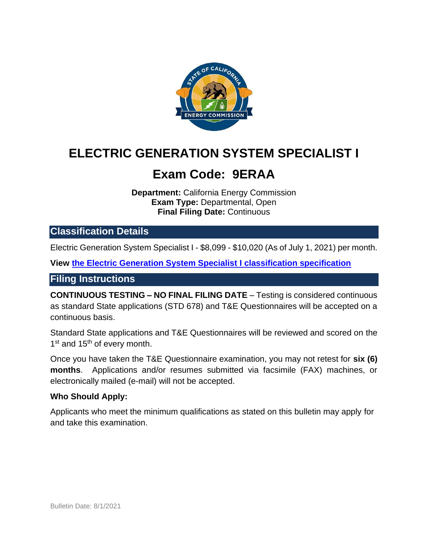

# **ELECTRIC GENERATION SYSTEM SPECIALIST I**

# **Exam Code: 9ERAA**

**Department:** California Energy Commission **Exam Type:** Departmental, Open **Final Filing Date:** Continuous

# **Classification Details**

Electric Generation System Specialist I - \$8,099 - \$10,020 (As of July 1, 2021) per month.

**View [the Electric Generation System Specialist I classification specification](https://www.calhr.ca.gov/state-hr-professionals/Pages/4841.aspx)**

#### **Filing Instructions**

**CONTINUOUS TESTING – NO FINAL FILING DATE** – Testing is considered continuous as standard State applications (STD 678) and T&E Questionnaires will be accepted on a continuous basis.

Standard State applications and T&E Questionnaires will be reviewed and scored on the 1<sup>st</sup> and 15<sup>th</sup> of every month.

Once you have taken the T&E Questionnaire examination, you may not retest for **six (6) months**. Applications and/or resumes submitted via facsimile (FAX) machines, or electronically mailed (e-mail) will not be accepted.

#### **Who Should Apply:**

Applicants who meet the minimum qualifications as stated on this bulletin may apply for and take this examination.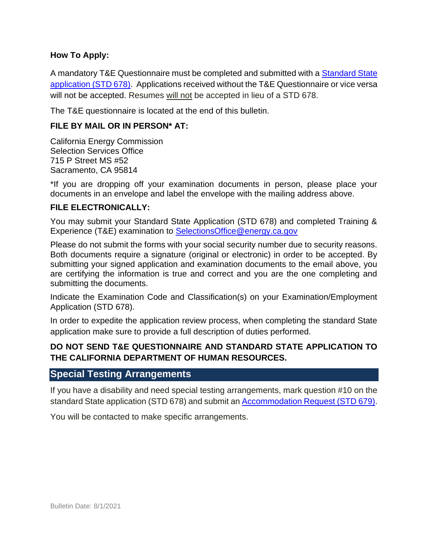#### **How To Apply:**

A mandatory T&E Questionnaire must be completed and submitted with a [Standard State](http://jobs.ca.gov/pdf/std678.pdf)  [application \(STD 678\).](http://jobs.ca.gov/pdf/std678.pdf) Applications received without the T&E Questionnaire or vice versa will not be accepted. Resumes will not be accepted in lieu of a STD 678.

The T&E questionnaire is located at the end of this bulletin.

#### **FILE BY MAIL OR IN PERSON\* AT:**

California Energy Commission Selection Services Office 715 P Street MS #52 Sacramento, CA 95814

\*If you are dropping off your examination documents in person, please place your documents in an envelope and label the envelope with the mailing address above.

#### **FILE ELECTRONICALLY:**

You may submit your Standard State Application (STD 678) and completed Training & Experience (T&E) examination to [SelectionsOffice@energy.ca.gov](mailto:SelectionsOffice@energy.ca.gov) 

Please do not submit the forms with your social security number due to security reasons. Both documents require a signature (original or electronic) in order to be accepted. By submitting your signed application and examination documents to the email above, you are certifying the information is true and correct and you are the one completing and submitting the documents.

Indicate the Examination Code and Classification(s) on your Examination/Employment Application (STD 678).

In order to expedite the application review process, when completing the standard State application make sure to provide a full description of duties performed.

#### **DO NOT SEND T&E QUESTIONNAIRE AND STANDARD STATE APPLICATION TO THE CALIFORNIA DEPARTMENT OF HUMAN RESOURCES.**

### **Special Testing Arrangements**

If you have a disability and need special testing arrangements, mark question #10 on the standard State application (STD 678) and submit an [Accommodation Request \(STD 679\).](https://jobs.ca.gov/pdf/STD679.pdf)

You will be contacted to make specific arrangements.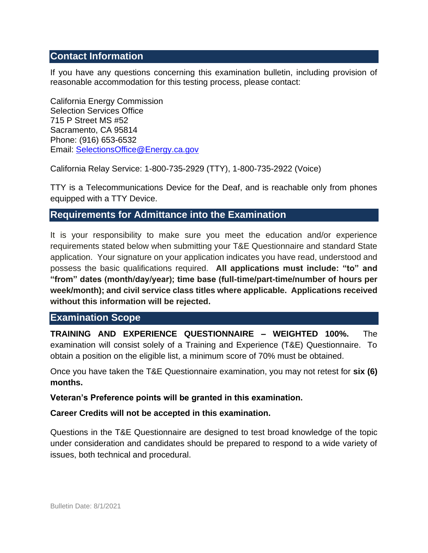### **Contact Information**

If you have any questions concerning this examination bulletin, including provision of reasonable accommodation for this testing process, please contact:

California Energy Commission Selection Services Office 715 P Street MS #52 Sacramento, CA 95814 Phone: (916) 653-6532 Email: [SelectionsOffice@Energy.ca.gov](mailto:SelectionsOffice@Energy.ca.gov) 

California Relay Service: 1-800-735-2929 (TTY), 1-800-735-2922 (Voice)

TTY is a Telecommunications Device for the Deaf, and is reachable only from phones equipped with a TTY Device.

### **Requirements for Admittance into the Examination**

It is your responsibility to make sure you meet the education and/or experience requirements stated below when submitting your T&E Questionnaire and standard State application. Your signature on your application indicates you have read, understood and possess the basic qualifications required. **All applications must include: "to" and "from" dates (month/day/year); time base (full-time/part-time/number of hours per week/month); and civil service class titles where applicable. Applications received without this information will be rejected.** 

#### **Examination Scope**

**TRAINING AND EXPERIENCE QUESTIONNAIRE – WEIGHTED 100%.** The examination will consist solely of a Training and Experience (T&E) Questionnaire. To obtain a position on the eligible list, a minimum score of 70% must be obtained.

Once you have taken the T&E Questionnaire examination, you may not retest for **six (6) months.** 

**Veteran's Preference points will be granted in this examination.**

**Career Credits will not be accepted in this examination.** 

Questions in the T&E Questionnaire are designed to test broad knowledge of the topic under consideration and candidates should be prepared to respond to a wide variety of issues, both technical and procedural.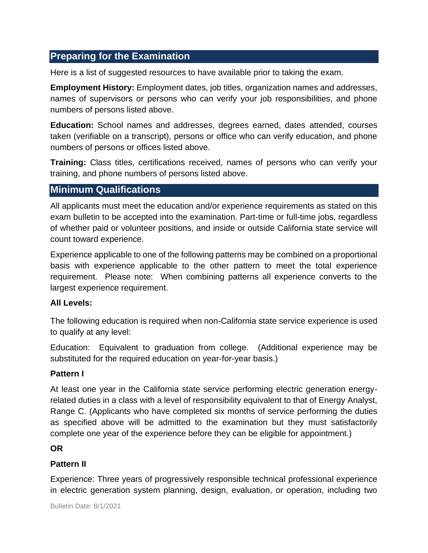# **Preparing for the Examination**

Here is a list of suggested resources to have available prior to taking the exam.

**Employment History:** Employment dates, job titles, organization names and addresses, names of supervisors or persons who can verify your job responsibilities, and phone numbers of persons listed above.

**Education:** School names and addresses, degrees earned, dates attended, courses taken (verifiable on a transcript), persons or office who can verify education, and phone numbers of persons or offices listed above.

**Training:** Class titles, certifications received, names of persons who can verify your training, and phone numbers of persons listed above.

# **Minimum Qualifications**

All applicants must meet the education and/or experience requirements as stated on this exam bulletin to be accepted into the examination. Part-time or full-time jobs, regardless of whether paid or volunteer positions, and inside or outside California state service will count toward experience.

Experience applicable to one of the following patterns may be combined on a proportional basis with experience applicable to the other pattern to meet the total experience requirement. Please note: When combining patterns all experience converts to the largest experience requirement.

#### **All Levels:**

The following education is required when non-California state service experience is used to qualify at any level:

Education: Equivalent to graduation from college. (Additional experience may be substituted for the required education on year-for-year basis.)

#### **Pattern I**

At least one year in the California state service performing electric generation energyrelated duties in a class with a level of responsibility equivalent to that of Energy Analyst, Range C. (Applicants who have completed six months of service performing the duties as specified above will be admitted to the examination but they must satisfactorily complete one year of the experience before they can be eligible for appointment.)

#### **OR**

#### **Pattern II**

Experience: Three years of progressively responsible technical professional experience in electric generation system planning, design, evaluation, or operation, including two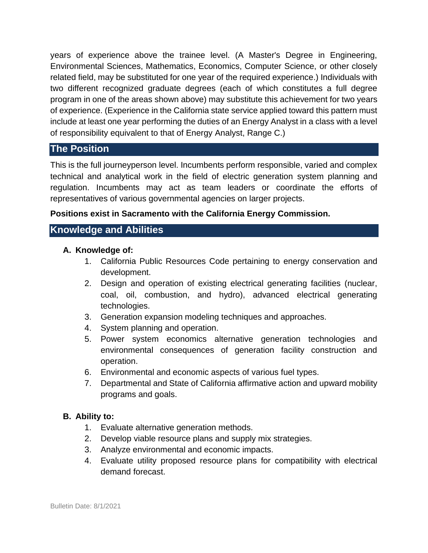years of experience above the trainee level. (A Master's Degree in Engineering, Environmental Sciences, Mathematics, Economics, Computer Science, or other closely related field, may be substituted for one year of the required experience.) Individuals with two different recognized graduate degrees (each of which constitutes a full degree program in one of the areas shown above) may substitute this achievement for two years of experience. (Experience in the California state service applied toward this pattern must include at least one year performing the duties of an Energy Analyst in a class with a level of responsibility equivalent to that of Energy Analyst, Range C.)

# **The Position**

This is the full journeyperson level. Incumbents perform responsible, varied and complex technical and analytical work in the field of electric generation system planning and regulation. Incumbents may act as team leaders or coordinate the efforts of representatives of various governmental agencies on larger projects.

#### **Positions exist in Sacramento with the California Energy Commission.**

# **Knowledge and Abilities**

#### **A. Knowledge of:**

- 1. California Public Resources Code pertaining to energy conservation and development.
- 2. Design and operation of existing electrical generating facilities (nuclear, coal, oil, combustion, and hydro), advanced electrical generating technologies.
- 3. Generation expansion modeling techniques and approaches.
- 4. System planning and operation.
- 5. Power system economics alternative generation technologies and environmental consequences of generation facility construction and operation.
- 6. Environmental and economic aspects of various fuel types.
- 7. Departmental and State of California affirmative action and upward mobility programs and goals.

#### **B. Ability to:**

- 1. Evaluate alternative generation methods.
- 2. Develop viable resource plans and supply mix strategies.
- 3. Analyze environmental and economic impacts.
- 4. Evaluate utility proposed resource plans for compatibility with electrical demand forecast.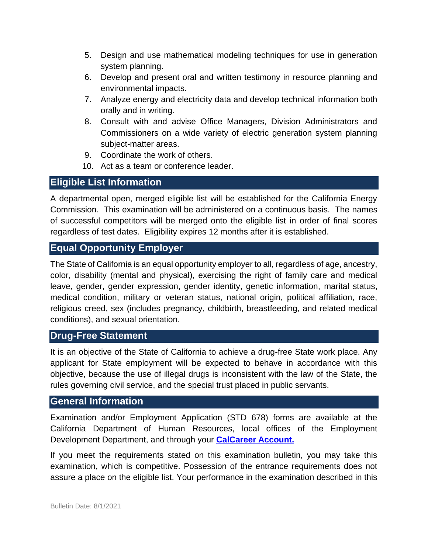- 5. Design and use mathematical modeling techniques for use in generation system planning.
- 6. Develop and present oral and written testimony in resource planning and environmental impacts.
- 7. Analyze energy and electricity data and develop technical information both orally and in writing.
- 8. Consult with and advise Office Managers, Division Administrators and Commissioners on a wide variety of electric generation system planning subject-matter areas.
- 9. Coordinate the work of others.
- 10. Act as a team or conference leader.

### **Eligible List Information**

A departmental open, merged eligible list will be established for the California Energy Commission. This examination will be administered on a continuous basis. The names of successful competitors will be merged onto the eligible list in order of final scores regardless of test dates. Eligibility expires 12 months after it is established.

# **Equal Opportunity Employer**

The State of California is an equal opportunity employer to all, regardless of age, ancestry, color, disability (mental and physical), exercising the right of family care and medical leave, gender, gender expression, gender identity, genetic information, marital status, medical condition, military or veteran status, national origin, political affiliation, race, religious creed, sex (includes pregnancy, childbirth, breastfeeding, and related medical conditions), and sexual orientation.

# **Drug-Free Statement**

It is an objective of the State of California to achieve a drug-free State work place. Any applicant for State employment will be expected to behave in accordance with this objective, because the use of illegal drugs is inconsistent with the law of the State, the rules governing civil service, and the special trust placed in public servants.

# **General Information**

Examination and/or Employment Application (STD 678) forms are available at the California Department of Human Resources, local offices of the Employment Development Department, and through your **[CalCareer Account.](http://www.jobs.ca.gov/)**

If you meet the requirements stated on this examination bulletin, you may take this examination, which is competitive. Possession of the entrance requirements does not assure a place on the eligible list. Your performance in the examination described in this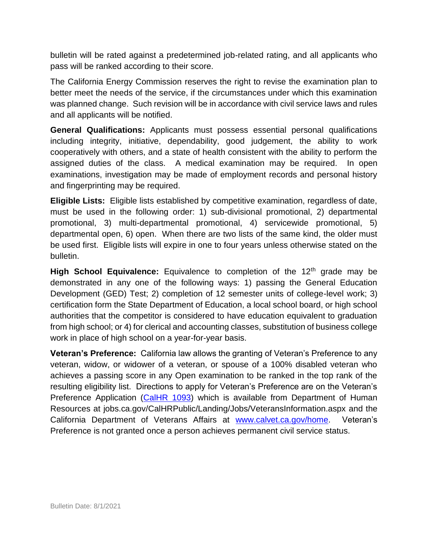bulletin will be rated against a predetermined job-related rating, and all applicants who pass will be ranked according to their score.

The California Energy Commission reserves the right to revise the examination plan to better meet the needs of the service, if the circumstances under which this examination was planned change. Such revision will be in accordance with civil service laws and rules and all applicants will be notified.

**General Qualifications:** Applicants must possess essential personal qualifications including integrity, initiative, dependability, good judgement, the ability to work cooperatively with others, and a state of health consistent with the ability to perform the assigned duties of the class. A medical examination may be required. In open examinations, investigation may be made of employment records and personal history and fingerprinting may be required.

**Eligible Lists:** Eligible lists established by competitive examination, regardless of date, must be used in the following order: 1) sub-divisional promotional, 2) departmental promotional, 3) multi-departmental promotional, 4) servicewide promotional, 5) departmental open, 6) open. When there are two lists of the same kind, the older must be used first. Eligible lists will expire in one to four years unless otherwise stated on the bulletin.

High School Equivalence: Equivalence to completion of the 12<sup>th</sup> grade may be demonstrated in any one of the following ways: 1) passing the General Education Development (GED) Test; 2) completion of 12 semester units of college-level work; 3) certification form the State Department of Education, a local school board, or high school authorities that the competitor is considered to have education equivalent to graduation from high school; or 4) for clerical and accounting classes, substitution of business college work in place of high school on a year-for-year basis.

**Veteran's Preference:** California law allows the granting of Veteran's Preference to any veteran, widow, or widower of a veteran, or spouse of a 100% disabled veteran who achieves a passing score in any Open examination to be ranked in the top rank of the resulting eligibility list. Directions to apply for Veteran's Preference are on the Veteran's Preference Application [\(CalHR 1093\)](https://www.calhr.ca.gov/Documents/CalHR-1093.pdf) which is available from Department of Human Resources at jobs.ca.gov/CalHRPublic/Landing/Jobs/VeteransInformation.aspx and the California Department of Veterans Affairs at [www.calvet.ca.gov/home.](http://www.calvet.ca.gov/home) Veteran's Preference is not granted once a person achieves permanent civil service status.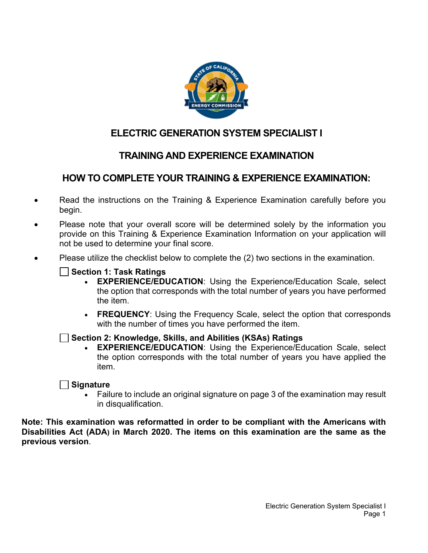

# **ELECTRIC GENERATION SYSTEM SPECIALIST I**

# **TRAINING AND EXPERIENCE EXAMINATION**

# **HOW TO COMPLETE YOUR TRAINING & EXPERIENCE EXAMINATION:**

- Read the instructions on the Training & Experience Examination carefully before you begin.
- Please note that your overall score will be determined solely by the information you provide on this Training & Experience Examination Information on your application will not be used to determine your final score.
- Please utilize the checklist below to complete the (2) two sections in the examination.

#### **Section 1: Task Ratings**

- **EXPERIENCE/EDUCATION**: Using the Experience/Education Scale, select the option that corresponds with the total number of years you have performed the item.
- **FREQUENCY**: Using the Frequency Scale, select the option that corresponds with the number of times you have performed the item.

#### **Section 2: Knowledge, Skills, and Abilities (KSAs) Ratings**

**EXPERIENCE/EDUCATION:** Using the Experience/Education Scale, select the option corresponds with the total number of years you have applied the item.

#### **Signature**

• Failure to include an original signature on page 3 of the examination may result in disqualification.

**Note: This examination was reformatted in order to be compliant with the Americans with Disabilities Act (ADA) in March 2020. The items on this examination are the same as the previous version**.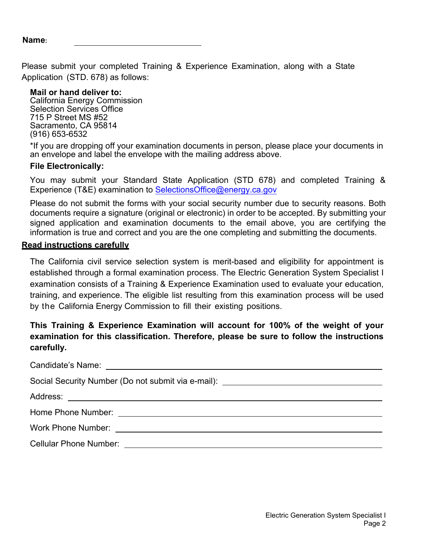Please submit your completed Training & Experience Examination, along with a State Application (STD. 678) as follows:

#### **Mail or hand deliver to:**

California Energy Commission Selection Services Office 715 P Street MS #52 Sacramento, CA 95814 (916) 653-6532

\*If you are dropping off your examination documents in person, please place your documents in an envelope and label the envelope with the mailing address above.

#### **File Electronically:**

You may submit your Standard State Application (STD 678) and completed Training & Experience (T&E) examination to SelectionsOffice@energy.ca.gov

Please do not submit the forms with your social security number due to security reasons. Both documents require a signature (original or electronic) in order to be accepted. By submitting your signed application and examination documents to the email above, you are certifying the information is true and correct and you are the one completing and submitting the documents.

#### **Read instructions carefully**

The California civil service selection system is merit-based and eligibility for appointment is established through a formal examination process. The Electric Generation System Specialist I examination consists of a Training & Experience Examination used to evaluate your education, training, and experience. The eligible list resulting from this examination process will be used by the California Energy Commission to fill their existing positions.

### **This Training & Experience Examination will account for 100% of the weight of your examination for this classification. Therefore, please be sure to follow the instructions carefully.**

| Social Security Number (Do not submit via e-mail): _____________________________ |  |
|----------------------------------------------------------------------------------|--|
|                                                                                  |  |
|                                                                                  |  |
|                                                                                  |  |
| Cellular Phone Number: University of the Cellular Phone Number:                  |  |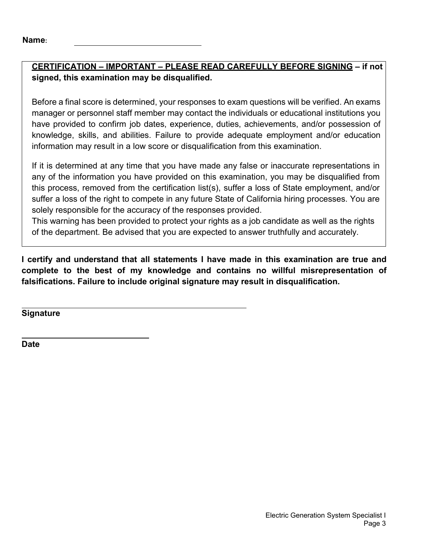# **CERTIFICATION – IMPORTANT – PLEASE READ CAREFULLY BEFORE SIGNING – if not signed, this examination may be disqualified.**

Before a final score is determined, your responses to exam questions will be verified. An exams manager or personnel staff member may contact the individuals or educational institutions you have provided to confirm job dates, experience, duties, achievements, and/or possession of knowledge, skills, and abilities. Failure to provide adequate employment and/or education information may result in a low score or disqualification from this examination.

If it is determined at any time that you have made any false or inaccurate representations in any of the information you have provided on this examination, you may be disqualified from this process, removed from the certification list(s), suffer a loss of State employment, and/or suffer a loss of the right to compete in any future State of California hiring processes. You are solely responsible for the accuracy of the responses provided.

This warning has been provided to protect your rights as a job candidate as well as the rights of the department. Be advised that you are expected to answer truthfully and accurately.

**I certify and understand that all statements I have made in this examination are true and complete to the best of my knowledge and contains no willful misrepresentation of falsifications. Failure to include original signature may result in disqualification.**

**Signature** 

**Date**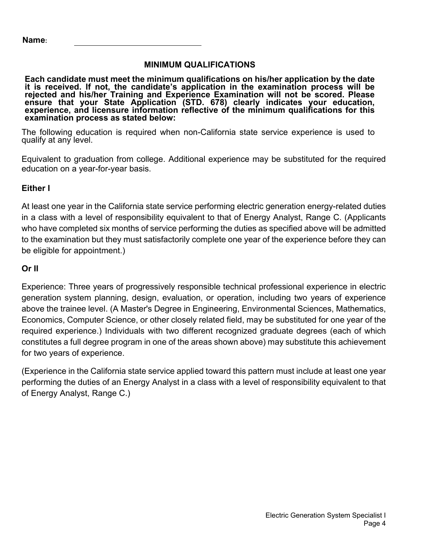#### **MINIMUM QUALIFICATIONS**

**Each candidate must meet the minimum qualifications on his/her application by the date it is received. If not, the candidate's application in the examination process will be rejected and his/her Training and Experience Examination will not be scored. Please ensure that your State Application (STD. 678) clearly indicates your education, experience, and licensure information reflective of the minimum qualifications for this examination process as stated below:**

The following education is required when non-California state service experience is used to qualify at any level.

Equivalent to graduation from college. Additional experience may be substituted for the required education on a year-for-year basis.

#### **Either I**

At least one year in the California state service performing electric generation energy-related duties in a class with a level of responsibility equivalent to that of Energy Analyst, Range C. (Applicants who have completed six months of service performing the duties as specified above will be admitted to the examination but they must satisfactorily complete one year of the experience before they can be eligible for appointment.)

#### **Or II**

Experience: Three years of progressively responsible technical professional experience in electric generation system planning, design, evaluation, or operation, including two years of experience above the trainee level. (A Master's Degree in Engineering, Environmental Sciences, Mathematics, Economics, Computer Science, or other closely related field, may be substituted for one year of the required experience.) Individuals with two different recognized graduate degrees (each of which constitutes a full degree program in one of the areas shown above) may substitute this achievement for two years of experience.

(Experience in the California state service applied toward this pattern must include at least one year performing the duties of an Energy Analyst in a class with a level of responsibility equivalent to that of Energy Analyst, Range C.)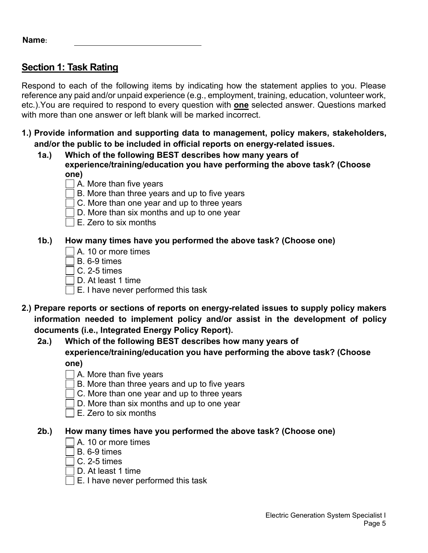# **Section 1: Task Rating**

Respond to each of the following items by indicating how the statement applies to you. Please reference any paid and/or unpaid experience (e.g., employment, training, education, volunteer work, etc.).You are required to respond to every question with **one** selected answer. Questions marked with more than one answer or left blank will be marked incorrect.

- **1.) Provide information and supporting data to management, policy makers, stakeholders, and/or the public to be included in official reports on energy-related issues.**
	- **1a.) Which of the following BEST describes how many years of experience/training/education you have performing the above task? (Choose one)**
		- $\Box$  A. More than five years
		- $\Box$  B. More than three years and up to five years
		- $\exists$  C. More than one year and up to three years
		- $\Box$  D. More than six months and up to one year
		- $\Box$  E. Zero to six months

### **1b.) How many times have you performed the above task? (Choose one)**

- A. 10 or more times
- $\sqsupset$  B. 6-9 times
- $\sqcap$  C. 2-5 times
- D. At least 1 time
- $\Box$  E. I have never performed this task
- **2.) Prepare reports or sections of reports on energy-related issues to supply policy makers information needed to implement policy and/or assist in the development of policy documents (i.e., Integrated Energy Policy Report).** 
	- **2a.) Which of the following BEST describes how many years of experience/training/education you have performing the above task? (Choose one)** 
		- $\Box$  A. More than five years
		- $\Box$  B. More than three years and up to five years
		- $\Box$  C. More than one year and up to three years
		- $\Box$  D. More than six months and up to one year
		- $\Box$  E. Zero to six months

- $\Box$  A. 10 or more times
- B. 6-9 times
- C. 2-5 times
- D. At least 1 time
- $\Box$  E. I have never performed this task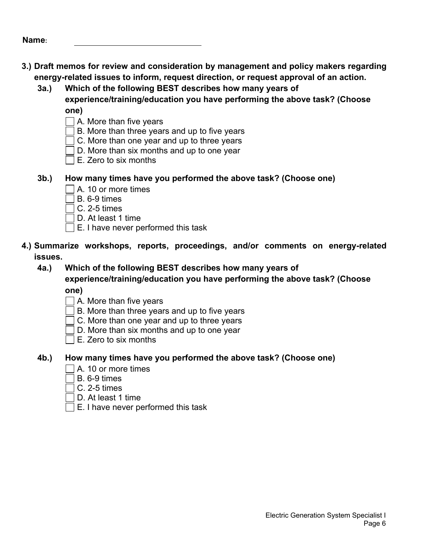| Name: |  |
|-------|--|
|-------|--|

- **3.) Draft memos for review and consideration by management and policy makers regarding energy-related issues to inform, request direction, or request approval of an action.**
	- **3a.) Which of the following BEST describes how many years of experience/training/education you have performing the above task? (Choose**

**one)** 

- $\Box$  A. More than five years
- $\exists$  B. More than three years and up to five years
- $\Box$  C. More than one year and up to three years
- D. More than six months and up to one year
- $\Box$  E. Zero to six months
- **3b.) How many times have you performed the above task? (Choose one)**
	- $\Box$  A. 10 or more times
	- $\Box$  B. 6-9 times
	- $\exists$  C. 2-5 times
	- D. At least 1 time
	- $\Box$  E. I have never performed this task
- **4.) Summarize workshops, reports, proceedings, and/or comments on energy-related issues.**

**4a.) Which of the following BEST describes how many years of experience/training/education you have performing the above task? (Choose**

**one)** 

- $\Box$  A. More than five years
- $\Box$  B. More than three years and up to five years
- $\Box$  C. More than one year and up to three years
- $\Box$  D. More than six months and up to one year
- $\square$  E. Zero to six months

- $\Box$  A. 10 or more times
- $\exists$  B 6-9 times
- $\overline{\phantom{a}}$  C. 2-5 times
- $\sqcap$  D. At least 1 time
- E. I have never performed this task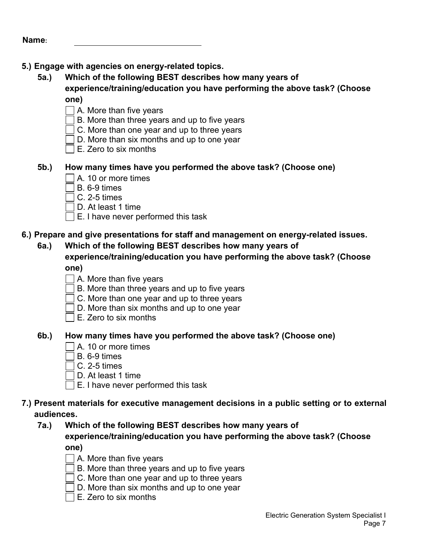### **5.) Engage with agencies on energy-related topics.**

**5a.) Which of the following BEST describes how many years of experience/training/education you have performing the above task? (Choose**

**one)** 

- $\Box$  A. More than five years
- $\overline{\phantom{a}}$  B. More than three years and up to five years
- $\Box$  C. More than one year and up to three years
- □ D. More than six months and up to one vear
- $\Box$  E. Zero to six months

#### **5b.) How many times have you performed the above task? (Choose one)**

- $\Box$  A. 10 or more times
- $\Box$  B. 6-9 times
- $\Box$  C. 2-5 times
- $\Box$  D. At least 1 time
- $\Box$  E. I have never performed this task

### **6.) Prepare and give presentations for staff and management on energy-related issues.**

**6a.) Which of the following BEST describes how many years of experience/training/education you have performing the above task? (Choose one)** 

- $\Box$  A. More than five years
- $\Box$  B. More than three vears and up to five vears
- $\Box$  C. More than one year and up to three years
- $\Box$  D. More than six months and up to one year
- $\Box$  E. Zero to six months

#### **6b.) How many times have you performed the above task? (Choose one)**

- $\Box$  A. 10 or more times
- $\Box$  B. 6-9 times
- $\exists$  C. 2-5 times
- $\Box$  D. At least 1 time
- $\Box$  E. I have never performed this task

#### **7.) Present materials for executive management decisions in a public setting or to external audiences.**

- **7a.) Which of the following BEST describes how many years of experience/training/education you have performing the above task? (Choose**
	- **one)**
	- $\Box$  A. More than five years
	- $\Box$  B. More than three years and up to five years
	- $\Box$  C. More than one year and up to three years
	- $\Box$  D. More than six months and up to one year
	- $\Box$  E. Zero to six months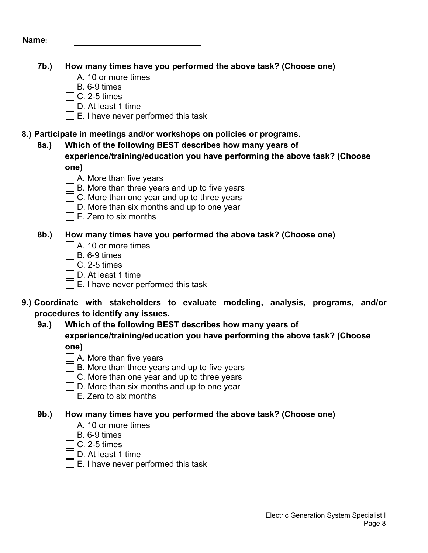### **7b.) How many times have you performed the above task? (Choose one)**

- $\Box$  A. 10 or more times
- B. 6-9 times
- $\overline{\phantom{a}}$  C. 2-5 times
- D. At least 1 time
- $\Box$  E. I have never performed this task

#### **8.) Participate in meetings and/or workshops on policies or programs.**

**8a.) Which of the following BEST describes how many years of experience/training/education you have performing the above task? (Choose one)** 

- $\Box$  A. More than five vears
- $\Box$  B. More than three years and up to five years
- $\Box$  C. More than one year and up to three years
- $\Box$  D. More than six months and up to one year
- $\square$  E. Zero to six months

### **8b.) How many times have you performed the above task? (Choose one)**

- A. 10 or more times
- $\exists$  B 6-9 times
- $\Box$  C. 2-5 times
- D. At least 1 time
- $\Box$  E. I have never performed this task
- **9.) Coordinate with stakeholders to evaluate modeling, analysis, programs, and/or procedures to identify any issues.** 
	- **9a.) Which of the following BEST describes how many years of experience/training/education you have performing the above task? (Choose one)** 
		- $\Box$  A. More than five years
		- $\Box$  B. More than three years and up to five years
		- $\Box$  C. More than one year and up to three years
		- D. More than six months and up to one year
		- $\square$  E. Zero to six months

- $\Box$  A. 10 or more times
- $\overline{\phantom{a}}$  B. 6-9 times
- C. 2-5 times
- D. At least 1 time
- $\Box$  E. I have never performed this task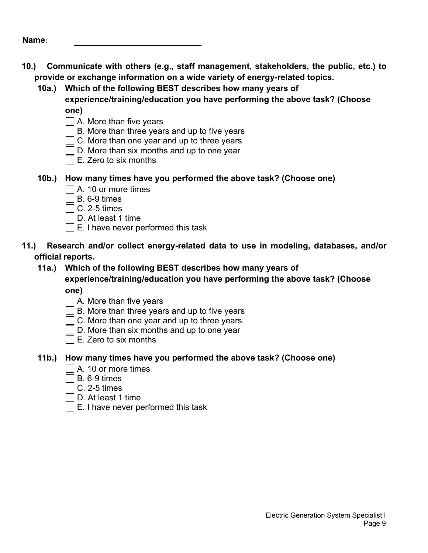- **10.) Communicate with others (e.g., staff management, stakeholders, the public, etc.) to provide or exchange information on a wide variety of energy-related topics.**
	- **10a.) Which of the following BEST describes how many years of** 
		- **experience/training/education you have performing the above task? (Choose one)** 
			- $\Box$  A. More than five years
			- $\exists$  B. More than three years and up to five years
			- $\Box$  C. More than one year and up to three years
			- D. More than six months and up to one year
			- $\Box$  E. Zero to six months
	- **10b.) How many times have you performed the above task? (Choose one)**
		- $\Box$  A. 10 or more times
		- $\sqsupset$  B. 6-9 times  $\sqcap$
		- $\top$ C. 2-5 times
		- D. At least 1 time
		- $\Box$  E. I have never performed this task
- **11.) Research and/or collect energy-related data to use in modeling, databases, and/or official reports.**
	- **11a.) Which of the following BEST describes how many years of experience/training/education you have performing the above task? (Choose**

**one)** 

- $\Box$  A. More than five years
- $\Box$  B. More than three years and up to five years
- $\Box$  C. More than one year and up to three years
- $\Box$  D. More than six months and up to one year
- $\square$  E. Zero to six months

- $\sqcap$  A. 10 or more times
- $\exists$  B. 6-9 times
- $\overline{\phantom{a}}$  C. 2-5 times
- $\sqcap$  D. At least 1 time.
- E. I have never performed this task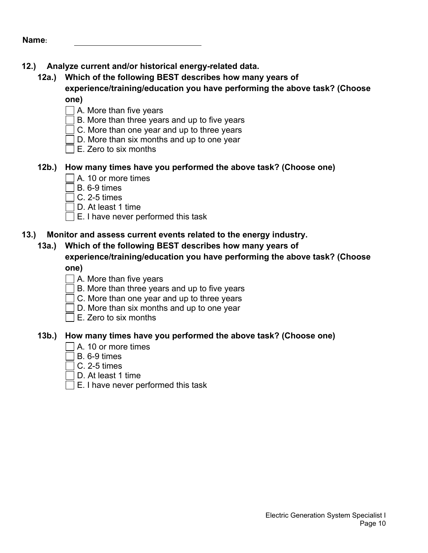# **12.) Analyze current and/or historical energy-related data.**

**12a.) Which of the following BEST describes how many years of experience/training/education you have performing the above task? (Choose**

**one)** 

- A. More than five years
- $\exists$  B. More than three years and up to five years
- $\Box$  C. More than one year and up to three years
- $\Box$  D. More than six months and up to one year
- $\Box$  E. Zero to six months

#### **12b.) How many times have you performed the above task? (Choose one)**

- $\Box$  A. 10 or more times
- $\Box$  B. 6-9 times
- $\sqcap$  C. 2-5 times
- D. At least 1 time
- $\Box$  E. I have never performed this task

#### **13.) Monitor and assess current events related to the energy industry.**

#### **13a.) Which of the following BEST describes how many years of experience/training/education you have performing the above task? (Choose one)**

- $\Box$  A. More than five years
- $\Box$  B. More than three vears and up to five vears
- $\Box$  C. More than one year and up to three years
- $\Box$  D. More than six months and up to one year
- $\square$  E. Zero to six months

- $\Box$  A. 10 or more times
- $\Box$  B. 6-9 times
- $\exists$  C. 2-5 times
- D. At least 1 time
- $\Box$  E. I have never performed this task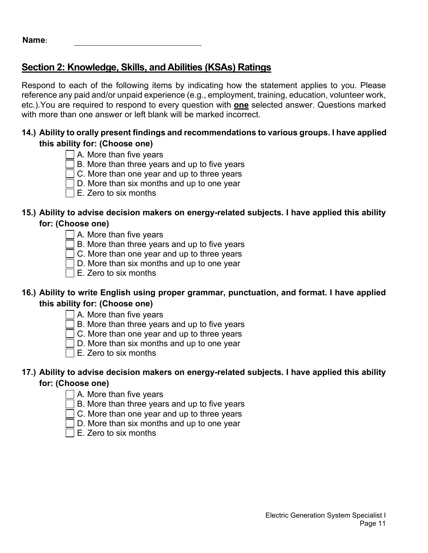# **Section 2: Knowledge, Skills, and Abilities (KSAs) Ratings**

Respond to each of the following items by indicating how the statement applies to you. Please reference any paid and/or unpaid experience (e.g., employment, training, education, volunteer work, etc.).You are required to respond to every question with **one** selected answer. Questions marked with more than one answer or left blank will be marked incorrect.

#### **14.) Ability to orally present findings and recommendations to various groups. I have applied this ability for: (Choose one)**

- $\Box$  A. More than five years
	- B. More than three years and up to five years
	- C. More than one year and up to three years
- $\Box$  D. More than six months and up to one year
- $\exists$  E. Zero to six months

#### **15.) Ability to advise decision makers on energy-related subjects. I have applied this ability for: (Choose one)**

- $\Box$  A. More than five years
- B. More than three years and up to five years
- C. More than one year and up to three years
- D. More than six months and up to one year
- $\Box$  E. Zero to six months

#### **16.) Ability to write English using proper grammar, punctuation, and format. I have applied this ability for: (Choose one)**

- A. More than five years
- B. More than three years and up to five years
- C. More than one year and up to three years
- D. More than six months and up to one year
- $\exists$  E. Zero to six months

#### **17.) Ability to advise decision makers on energy-related subjects. I have applied this ability for: (Choose one)**

- $\Box$  A. More than five years
- B. More than three years and up to five years
- C. More than one year and up to three years
- D. More than six months and up to one year
- E. Zero to six months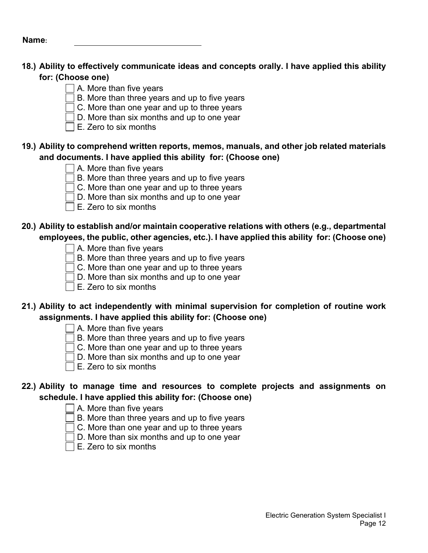### **18.) Ability to effectively communicate ideas and concepts orally. I have applied this ability for: (Choose one)**

- $\Box$  A. More than five years
- $\exists$  B. More than three years and up to five years
- $\overline{\phantom{a}}$  C. More than one year and up to three years
- $\Box$  D. More than six months and up to one year
- $\square$  E. Zero to six months

### **19.) Ability to comprehend written reports, memos, manuals, and other job related materials and documents. I have applied this ability for: (Choose one)**

- A. More than five years
- $\overline{\overline{\phantom{x}}}$  B. More than three years and up to five years
- $\exists$  C. More than one year and up to three years
- $\Box$  D. More than six months and up to one year
- $\Box$  E. Zero to six months

# **20.) Ability to establish and/or maintain cooperative relations with others (e.g., departmental employees, the public, other agencies, etc.). I have applied this ability for: (Choose one)**

- A. More than five years
- B. More than three years and up to five years
- C. More than one year and up to three years
- D. More than six months and up to one year
- $\square$  E. Zero to six months

# **21.) Ability to act independently with minimal supervision for completion of routine work assignments. I have applied this ability for: (Choose one)**

- $\Box$  A. More than five years
- B. More than three years and up to five years
- $\overline{\Box}$  C. More than one year and up to three years
	- $\Box$  D. More than six months and up to one year
- $\Box$  E. Zero to six months

### **22.) Ability to manage time and resources to complete projects and assignments on schedule. I have applied this ability for: (Choose one)**

- $\Box$  A. More than five years
- B. More than three years and up to five years
- $\Box$  C. More than one year and up to three years
	- D. More than six months and up to one year
- $\exists$  E. Zero to six months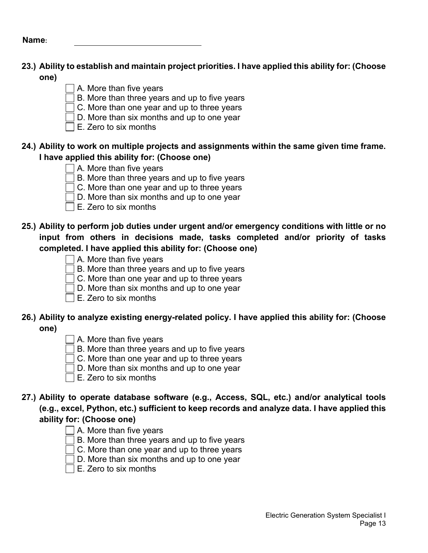### **23.) Ability to establish and maintain project priorities. I have applied this ability for: (Choose one)**

- $\Box$  A. More than five years
- $\Box$  B. More than three years and up to five years
- $\Box$  C. More than one year and up to three years
- $\Box$  D. More than six months and up to one year
- $\square$  E. Zero to six months

#### **24.) Ability to work on multiple projects and assignments within the same given time frame. I have applied this ability for: (Choose one)**

- $\Box$  A. More than five years
- $\Box$  B. More than three years and up to five years
- $\exists$  C. More than one year and up to three years
- $\Box$  D. More than six months and up to one year
- $\Box$  E. Zero to six months

### **25.) Ability to perform job duties under urgent and/or emergency conditions with little or no input from others in decisions made, tasks completed and/or priority of tasks completed. I have applied this ability for: (Choose one)**

- $\Box$  A. More than five years
- $\Box$  B. More than three years and up to five years
- $\overline{C}$ . More than one year and up to three years
- D. More than six months and up to one year
- $\exists$  E. Zero to six months

#### **26.) Ability to analyze existing energy-related policy. I have applied this ability for: (Choose one)**

- 
- $\Box$  A. More than five years
- $\Box$  B. More than three years and up to five years
- □ C. More than one year and up to three years
- D. More than six months and up to one year
- $\exists$  E. Zero to six months
- **27.) Ability to operate database software (e.g., Access, SQL, etc.) and/or analytical tools (e.g., excel, Python, etc.) sufficient to keep records and analyze data. I have applied this ability for: (Choose one)**
	- $\Box$  A. More than five years
	- $\Box$  B. More than three years and up to five years
	- $\Box$  C. More than one year and up to three years
	- $\Box$  D. More than six months and up to one year
	- $\exists$  E. Zero to six months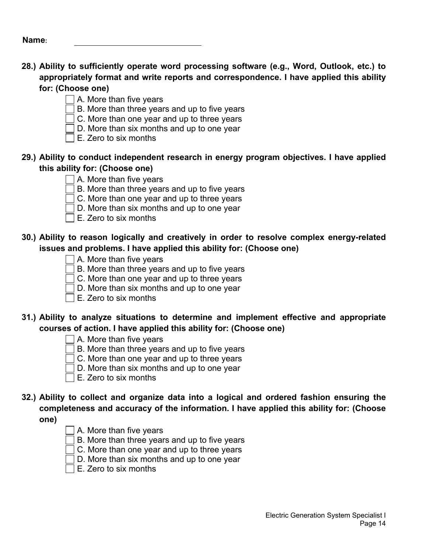- **28.) Ability to sufficiently operate word processing software (e.g., Word, Outlook, etc.) to appropriately format and write reports and correspondence. I have applied this ability for: (Choose one)**
	- $\Box$  A. More than five years
	- B. More than three years and up to five years
	- C. More than one year and up to three years
	- $\Box$  D. More than six months and up to one year
	- $\square$  E. Zero to six months

#### **29.) Ability to conduct independent research in energy program objectives. I have applied this ability for: (Choose one)**

- A. More than five years
- $\exists$  B. More than three years and up to five years
- □ C. More than one year and up to three years
- $\Box$  D. More than six months and up to one year
- $\square$  E. Zero to six months

### **30.) Ability to reason logically and creatively in order to resolve complex energy-related issues and problems. I have applied this ability for: (Choose one)**

- $\Box$  A. More than five years
- $\Box$  B. More than three years and up to five years
- $\exists$  C. More than one year and up to three years
- $\bar{\bar{\bm{\theta}}}$  D. More than six months and up to one year
- $\exists$  E. Zero to six months

# **31.) Ability to analyze situations to determine and implement effective and appropriate courses of action. I have applied this ability for: (Choose one)**

- $\Box$  A. More than five years
- $\Box$  B. More than three years and up to five years
- $\Box$  C. More than one year and up to three years
- $\Box$  D. More than six months and up to one year
- $\sqsupset$  E. Zero to six months

# **32.) Ability to collect and organize data into a logical and ordered fashion ensuring the completeness and accuracy of the information. I have applied this ability for: (Choose**

**one)**

- $\Box$  A. More than five years
- $\Box$  B. More than three years and up to five years
- $\Box$  C. More than one year and up to three years
- $\Box$  D. More than six months and up to one year
- $\exists$  E. Zero to six months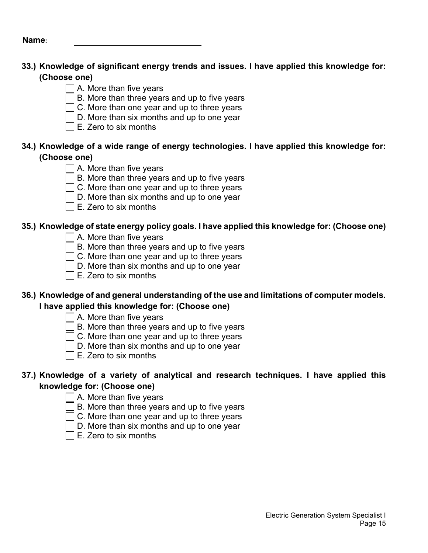### **33.) Knowledge of significant energy trends and issues. I have applied this knowledge for: (Choose one)**

- $\Box$  A. More than five years
- $\exists$  B. More than three years and up to five years
- $\overline{\phantom{a}}$  C. More than one year and up to three years
- $\Box$  D. More than six months and up to one year
- $\square$  E. Zero to six months

#### **34.) Knowledge of a wide range of energy technologies. I have applied this knowledge for: (Choose one)**

- $\vert$  A. More than five years
- $\Box$  B. More than three years and up to five years
- $\exists$  C. More than one year and up to three years
- $\Box$  D. More than six months and up to one year
- $\Box$  E. Zero to six months

### **35.) Knowledge of state energy policy goals. I have applied this knowledge for: (Choose one)**

- $\vert \ \vert$  A. More than five years
	- $\exists$  B. More than three years and up to five years
	- C. More than one year and up to three years
	- D. More than six months and up to one year
- $\Box$  E. Zero to six months

### **36.) Knowledge of and general understanding of the use and limitations of computer models. I have applied this knowledge for: (Choose one)**

- $\Box$  A. More than five years
- B. More than three years and up to five years
- C. More than one year and up to three years
- $\overline{\overline{\mathsf{I}}}$  D. More than six months and up to one year
- $\overline{\phantom{a}}$  E. Zero to six months

### **37.) Knowledge of a variety of analytical and research techniques. I have applied this knowledge for: (Choose one)**

- $\Box$  A. More than five years
- B. More than three years and up to five years
- $\Box$  C. More than one year and up to three years
	- D. More than six months and up to one year
- $\Box$  E. Zero to six months